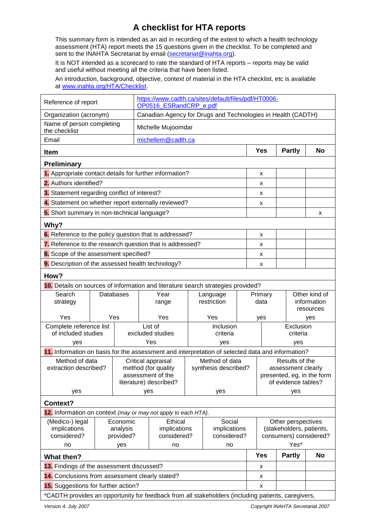## **A checklist for HTA reports**

This summary form is intended as an aid in recording of the extent to which a health technology assessment (HTA) report meets the 15 questions given in the checklist. To be completed and sent to the INAHTA Secretariat by email [\(secretariat@inahta.org\)](mailto:secretariat@inahta.org).

It is NOT intended as a scorecard to rate the standard of HTA reports – reports may be valid and useful without meeting all the criteria that have been listed.

An introduction, background, objective, context of material in the HTA checklist, etc is available at [www.inahta.org/HTA/Checklist.](http://www.inahta.org/HTA/Checklist)

| Reference of report                                                                                                   |                    |                   | https://www.cadth.ca/sites/default/files/pdf/HT0006-<br>OP0516_ESRandCRP_e.pdf |                                        |           |                                  |                                |               |                              |  |
|-----------------------------------------------------------------------------------------------------------------------|--------------------|-------------------|--------------------------------------------------------------------------------|----------------------------------------|-----------|----------------------------------|--------------------------------|---------------|------------------------------|--|
| Organization (acronym)                                                                                                |                    |                   | Canadian Agency for Drugs and Technologies in Health (CADTH)                   |                                        |           |                                  |                                |               |                              |  |
| Name of person completing<br>the checklist                                                                            |                    |                   | Michelle Mujoomdar                                                             |                                        |           |                                  |                                |               |                              |  |
| Email                                                                                                                 | michellem@cadth.ca |                   |                                                                                |                                        |           |                                  |                                |               |                              |  |
| <b>Item</b>                                                                                                           |                    |                   |                                                                                |                                        |           |                                  | Yes                            | <b>Partly</b> | <b>No</b>                    |  |
| <b>Preliminary</b>                                                                                                    |                    |                   |                                                                                |                                        |           |                                  |                                |               |                              |  |
| 1. Appropriate contact details for further information?                                                               |                    |                   |                                                                                |                                        |           |                                  | X                              |               |                              |  |
| 2. Authors identified?                                                                                                |                    |                   |                                                                                |                                        |           |                                  | x                              |               |                              |  |
| 3. Statement regarding conflict of interest?                                                                          |                    |                   |                                                                                |                                        |           |                                  | x                              |               |                              |  |
| 4. Statement on whether report externally reviewed?                                                                   |                    |                   |                                                                                |                                        |           |                                  | x                              |               |                              |  |
| 5. Short summary in non-technical language?                                                                           |                    |                   |                                                                                |                                        |           |                                  |                                |               | x                            |  |
| Why?                                                                                                                  |                    |                   |                                                                                |                                        |           |                                  |                                |               |                              |  |
| 6. Reference to the policy question that is addressed?                                                                |                    |                   |                                                                                |                                        |           |                                  | x                              |               |                              |  |
| 7. Reference to the research question that is addressed?                                                              |                    |                   |                                                                                |                                        |           |                                  | x                              |               |                              |  |
| 8. Scope of the assessment specified?                                                                                 |                    |                   |                                                                                |                                        |           |                                  | x                              |               |                              |  |
| 9. Description of the assessed health technology?                                                                     |                    |                   |                                                                                |                                        |           |                                  | X                              |               |                              |  |
| How?                                                                                                                  |                    |                   |                                                                                |                                        |           |                                  |                                |               |                              |  |
| 10. Details on sources of information and literature search strategies provided?                                      |                    |                   |                                                                                |                                        |           |                                  |                                |               |                              |  |
| Search                                                                                                                |                    | Year<br>Databases |                                                                                | Language<br>restriction                |           |                                  | Primary                        |               | Other kind of<br>information |  |
| strategy                                                                                                              |                    |                   | range                                                                          |                                        |           |                                  | data                           |               | resources                    |  |
| Yes                                                                                                                   |                    | Yes               | Yes                                                                            |                                        | Yes       |                                  | yes<br>yes                     |               |                              |  |
| Complete reference list                                                                                               |                    | List of           |                                                                                |                                        | Inclusion |                                  | Exclusion                      |               |                              |  |
| of included studies                                                                                                   |                    | excluded studies  |                                                                                |                                        | criteria  |                                  |                                |               | criteria                     |  |
| Yes<br>yes<br>yes<br>11. Information on basis for the assessment and interpretation of selected data and information? |                    |                   |                                                                                |                                        |           |                                  | yes                            |               |                              |  |
| Method of data<br>Critical appraisal                                                                                  |                    |                   |                                                                                |                                        |           | Method of data<br>Results of the |                                |               |                              |  |
| extraction described?                                                                                                 |                    |                   | method (for quality<br>synthesis described?                                    |                                        |           |                                  | assessment clearly             |               |                              |  |
|                                                                                                                       |                    |                   | assessment of the<br>literature) described?                                    |                                        |           |                                  | presented, eg, in the form     |               |                              |  |
| yes                                                                                                                   |                    |                   |                                                                                | yes                                    |           |                                  | of evidence tables?<br>yes     |               |                              |  |
| yes<br>Context?                                                                                                       |                    |                   |                                                                                |                                        |           |                                  |                                |               |                              |  |
| 12. Information on context (may or may not apply to each HTA).                                                        |                    |                   |                                                                                |                                        |           |                                  |                                |               |                              |  |
| (Medico-) legal                                                                                                       |                    | Economic          | <b>Ethical</b>                                                                 |                                        | Social    |                                  | Other perspectives             |               |                              |  |
| implications                                                                                                          |                    | analysis          | implications                                                                   | implications                           |           |                                  | (stakeholders, patients,       |               |                              |  |
| considered?<br>no                                                                                                     |                    | provided?         |                                                                                | considered?<br>considered?<br>no<br>no |           |                                  | consumers) considered?<br>Yes* |               |                              |  |
|                                                                                                                       |                    | yes               |                                                                                |                                        |           |                                  |                                |               |                              |  |
| <b>What then?</b><br>13. Findings of the assessment discussed?                                                        |                    |                   |                                                                                |                                        |           |                                  | <b>Yes</b>                     | <b>Partly</b> | <b>No</b>                    |  |
| 14. Conclusions from assessment clearly stated?                                                                       |                    |                   |                                                                                |                                        |           |                                  | x                              |               |                              |  |
| 15. Suggestions for further action?                                                                                   |                    |                   |                                                                                |                                        |           |                                  | x<br>X                         |               |                              |  |
| *CADTH provides an opportunity for feedback from all stakeholders (including patients, caregivers,                    |                    |                   |                                                                                |                                        |           |                                  |                                |               |                              |  |
|                                                                                                                       |                    |                   |                                                                                |                                        |           |                                  |                                |               |                              |  |